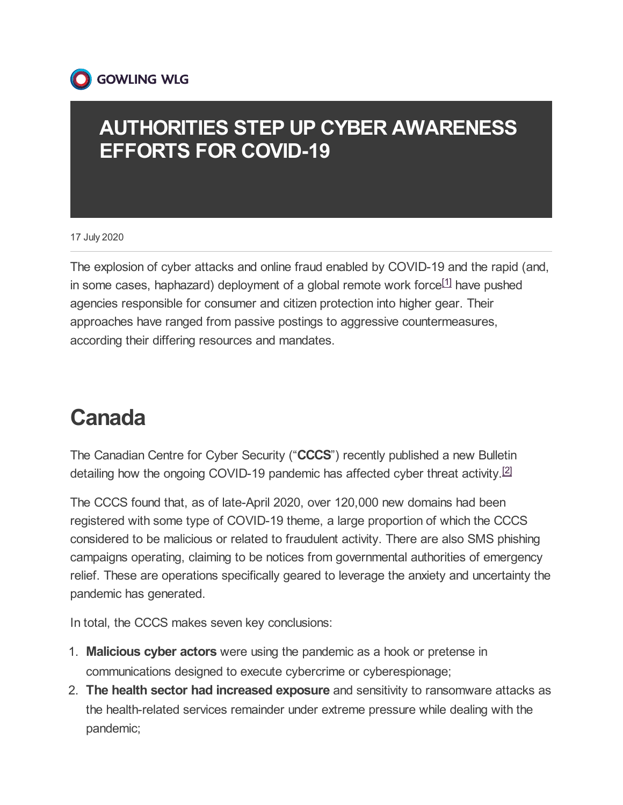

#### **AUTHORITIES STEP UP CYBER AWARENESS EFFORTS FOR COVID-19**

17 July 2020

<span id="page-0-0"></span>The explosion of cyber attacks and online fraud enabled by COVID-19 and the rapid (and, in some cases, haphazard) deployment of a global remote work force<sup>[\[1\]](#page-4-0)</sup> have pushed agencies responsible for consumer and citizen protection into higher gear. Their approaches have ranged from passive postings to aggressive countermeasures, according their differing resources and mandates.

### **Canada**

<span id="page-0-1"></span>The Canadian Centre for Cyber Security ("**CCCS**") recently published a new Bulletin detailing how the ongoing COVID-19 pandemic has affected cyber threat activity.<sup>[\[2\]](#page-4-1)</sup>

The CCCS found that, as of late-April 2020, over 120,000 new domains had been registered with some type of COVID-19 theme, a large proportion of which the CCCS considered to be malicious or related to fraudulent activity. There are also SMS phishing campaigns operating, claiming to be notices from governmental authorities of emergency relief. These are operations specifically geared to leverage the anxiety and uncertainty the pandemic has generated.

In total, the CCCS makes seven key conclusions:

- 1. **Malicious cyber actors** were using the pandemic as a hook or pretense in communications designed to execute cybercrime or cyberespionage;
- 2. **The health sector had increased exposure** and sensitivity to ransomware attacks as the health-related services remainder under extreme pressure while dealing with the pandemic;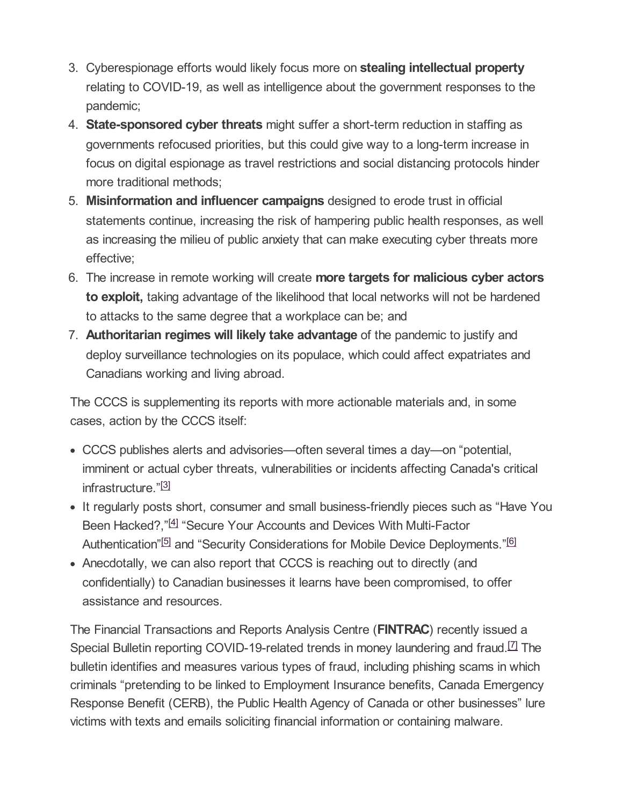- 3. Cyberespionage efforts would likely focus more on **stealing intellectual property** relating to COVID-19, as well as intelligence about the government responses to the pandemic;
- 4. **State-sponsored cyber threats** might suffer a short-term reduction in staffing as governments refocused priorities, but this could give way to a long-term increase in focus on digital espionage as travel restrictions and social distancing protocols hinder more traditional methods;
- 5. **Misinformation and influencer campaigns** designed to erode trust in official statements continue, increasing the risk of hampering public health responses, as well as increasing the milieu of public anxiety that can make executing cyber threats more effective;
- 6. The increase in remote working will create **more targets for malicious cyber actors to exploit,** taking advantage of the likelihood that local networks will not be hardened to attacks to the same degree that a workplace can be; and
- 7. **Authoritarian regimes will likely take advantage** of the pandemic to justify and deploy surveillance technologies on its populace, which could affect expatriates and Canadians working and living abroad.

The CCCS is supplementing its reports with more actionable materials and, in some cases, action by the CCCS itself:

- CCCS publishes alerts and advisories—often several times a day—on "potential, imminent or actual cyber threats, vulnerabilities or incidents affecting Canada's critical infrastructure." [\[3\]](#page-4-2)
- <span id="page-1-1"></span><span id="page-1-0"></span>• It regularly posts short, consumer and small business-friendly pieces such as "Have You Been Hacked?,"<sup>[\[4\]](#page-4-3)</sup> "Secure Your Accounts and Devices With Multi-Factor Authentication"<sup>[\[5\]](#page-4-4)</sup> and "Security Considerations for Mobile Device Deployments."<sup>[\[6\]](#page-4-5)</sup>
- <span id="page-1-3"></span><span id="page-1-2"></span>Anecdotally, we can also report that CCCS is reaching out to directly (and confidentially) to Canadian businesses it learns have been compromised, to offer assistance and resources.

<span id="page-1-4"></span>The Financial Transactions and Reports Analysis Centre (**FINTRAC**) recently issued a Special Bulletin reporting COVID-19-related trends in money laundering and fraud.<sup>[\[7\]](#page-4-6)</sup> The bulletin identifies and measures various types of fraud, including phishing scams in which criminals "pretending to be linked to Employment Insurance benefits, Canada Emergency Response Benefit (CERB), the Public Health Agency of Canada or other businesses" lure victims with texts and emails soliciting financial information or containing malware.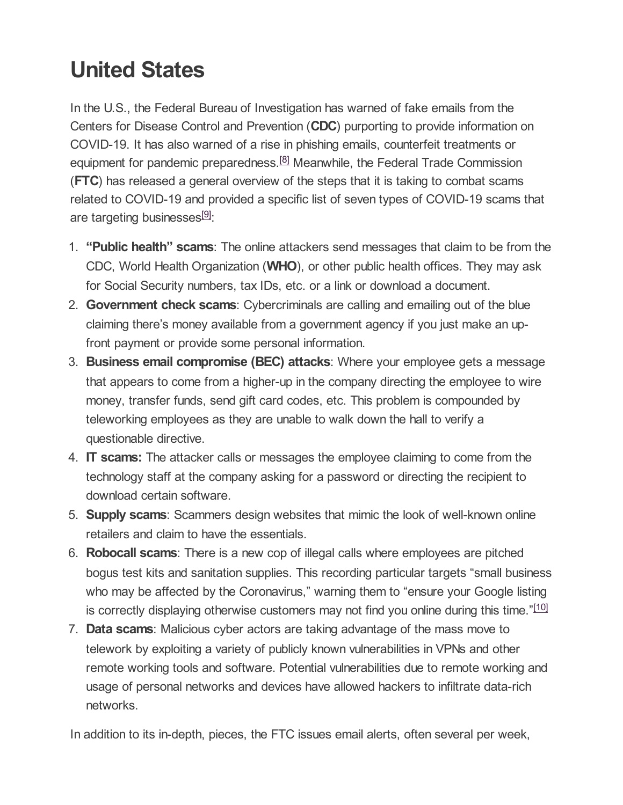# **United States**

<span id="page-2-0"></span>In the U.S., the Federal Bureau of Investigation has warned of fake emails from the Centers for Disease Control and Prevention (**CDC**) purporting to provide information on COVID-19. It has also warned of a rise in phishing emails, counterfeit treatments or equipment for pandemic preparedness.<sup>[\[8\]](#page-4-7)</sup> Meanwhile, the Federal Trade Commission (**FTC**) has released a general overview of the steps that it is taking to combat scams related to COVID-19 and provided a specific list of seven types of COVID-19 scams that are targeting businesses<sup>[\[9\]](#page-4-8)</sup>:

- <span id="page-2-1"></span>1. **"Public health" scams**: The online attackers send messages that claim to be from the CDC, World Health Organization (**WHO**), or other public health offices. They may ask for Social Security numbers, tax IDs, etc. or a link or download a document.
- 2. **Government check scams**: Cybercriminals are calling and emailing out of the blue claiming there's money available from a government agency if you just make an upfront payment or provide some personal information.
- 3. **Business email compromise (BEC) attacks**: Where your employee gets a message that appears to come from a higher-up in the company directing the employee to wire money, transfer funds, send gift card codes, etc. This problem is compounded by teleworking employees as they are unable to walk down the hall to verify a questionable directive.
- 4. **IT scams:** The attacker calls or messages the employee claiming to come from the technology staff at the company asking for a password or directing the recipient to download certain software.
- 5. **Supply scams**: Scammers design websites that mimic the look of well-known online retailers and claim to have the essentials.
- 6. **Robocall scams**: There is a new cop of illegal calls where employees are pitched bogus test kits and sanitation supplies. This recording particular targets "small business who may be affected by the Coronavirus," warning them to "ensure your Google listing is correctly displaying otherwise customers may not find you online during this time."[\[10\]](#page-4-9)
- <span id="page-2-2"></span>7. **Data scams**: Malicious cyber actors are taking advantage of the mass move to telework by exploiting a variety of publicly known vulnerabilities in VPNs and other remote working tools and software. Potential vulnerabilities due to remote working and usage of personal networks and devices have allowed hackers to infiltrate data-rich networks.

In addition to its in-depth, pieces, the FTC issues email alerts, often several per week,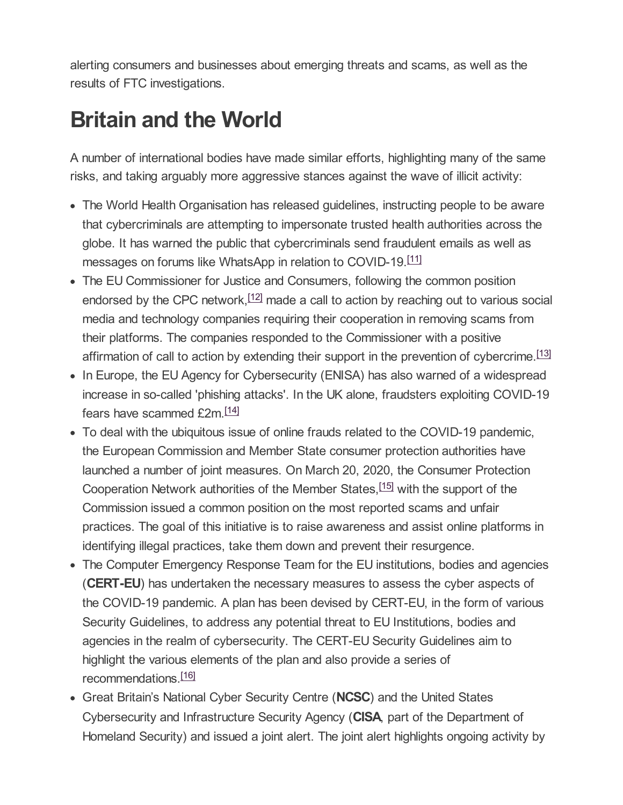alerting consumers and businesses about emerging threats and scams, as well as the results of FTC investigations.

## **Britain and the World**

A number of international bodies have made similar efforts, highlighting many of the same risks, and taking arguably more aggressive stances against the wave of illicit activity:

- The World Health Organisation has released guidelines, instructing people to be aware that cybercriminals are attempting to impersonate trusted health authorities across the globe. It has warned the public that cybercriminals send fraudulent emails as well as messages on forums like WhatsApp in relation to COVID-19.<sup>[\[11\]](#page-5-0)</sup>
- <span id="page-3-1"></span><span id="page-3-0"></span>The EU Commissioner for Justice and Consumers, following the common position endorsed by the CPC network, <sup>[\[12\]](#page-5-1)</sup> made a call to action by reaching out to various social media and technology companies requiring their cooperation in removing scams from their platforms. The companies responded to the Commissioner with a positive affirmation of call to action by extending their support in the prevention of cybercrime.<sup>[\[13\]](#page-5-2)</sup>
- <span id="page-3-2"></span>• In Europe, the EU Agency for Cybersecurity (ENISA) has also warned of a widespread increase in so-called 'phishing attacks'. In the UK alone, fraudsters exploiting COVID-19 fears have scammed £2m.<sup>[\[14\]](#page-5-3)</sup>
- <span id="page-3-4"></span><span id="page-3-3"></span>To deal with the ubiquitous issue of online frauds related to the COVID-19 pandemic, the European Commission and Member State consumer protection authorities have launched a number of joint measures. On March 20, 2020, the Consumer Protection Cooperation Network authorities of the Member States, <sup>[\[15\]](#page-5-4)</sup> with the support of the Commission issued a common position on the most reported scams and unfair practices. The goal of this initiative is to raise awareness and assist online platforms in identifying illegal practices, take them down and prevent their resurgence.
- The Computer Emergency Response Team for the EU institutions, bodies and agencies (**CERT-EU**) has undertaken the necessary measures to assess the cyber aspects of the COVID-19 pandemic. A plan has been devised by CERT-EU, in the form of various Security Guidelines, to address any potential threat to EU Institutions, bodies and agencies in the realm of cybersecurity. The CERT-EU Security Guidelines aim to highlight the various elements of the plan and also provide a series of recommendations. [\[16\]](#page-5-5)
- <span id="page-3-5"></span>Great Britain's National Cyber Security Centre (**NCSC**) and the United States Cybersecurity and Infrastructure Security Agency (**CISA**, part of the Department of Homeland Security) and issued a joint alert. The joint alert highlights ongoing activity by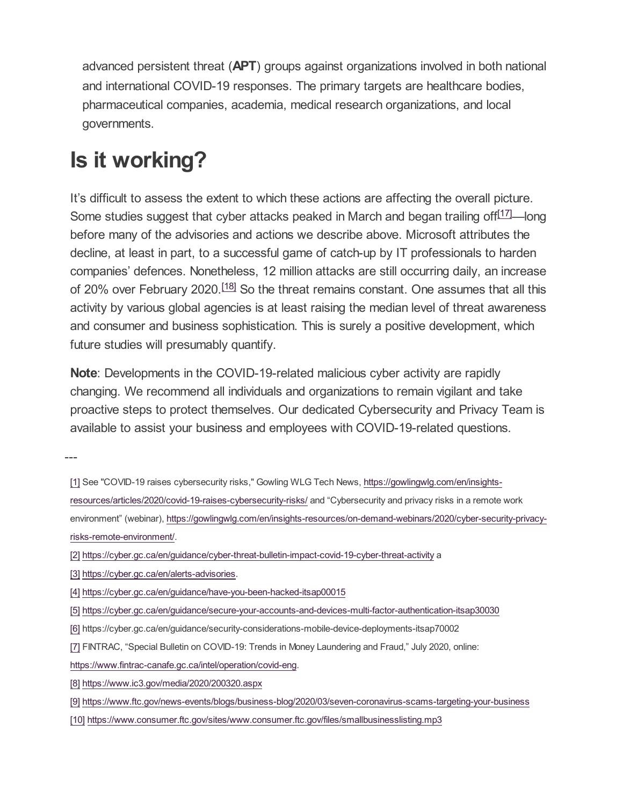advanced persistent threat (**APT**) groups against organizations involved in both national and international COVID-19 responses. The primary targets are healthcare bodies, pharmaceutical companies, academia, medical research organizations, and local governments.

# **Is it working?**

<span id="page-4-10"></span>It's difficult to assess the extent to which these actions are affecting the overall picture. Some studies suggest that cyber attacks peaked in March and began trailing off<sup>[\[17\]](#page-5-6)</sup>—long before many of the advisories and actions we describe above. Microsoft attributes the decline, at least in part, to a successful game of catch-up by IT professionals to harden companies' defences. Nonetheless, 12 million attacks are still occurring daily, an increase of 20% over February 2020.<sup>[\[18\]](#page-5-7)</sup> So the threat remains constant. One assumes that all this activity by various global agencies is at least raising the median level of threat awareness and consumer and business sophistication. This is surely a positive development, which future studies will presumably quantify.

<span id="page-4-11"></span>**Note**: Developments in the COVID-19-related malicious cyber activity are rapidly changing. We recommend all individuals and organizations to remain vigilant and take proactive steps to protect themselves. Our dedicated Cybersecurity and Privacy Team is available to assist your business and employees with COVID-19-related questions.

---

- <span id="page-4-0"></span>[\[1\]](#page-0-0) See "COVID-19 raises cybersecurity risks," Gowling WLG Tech News, https://gowlingwlg.com/en/insights[resources/articles/2020/covid-19-raises-cybersecurity-risks/](https://gowlingwlg.com/en/insights-resources/articles/2020/covid-19-raises-cybersecurity-risks/) and "Cybersecurity and privacy risks in a remote work environment" (webinar), [https://gowlingwlg.com/en/insights-resources/on-demand-webinars/2020/cyber-security-privacy-](https://gowlingwlg.com/en/insights-resources/on-demand-webinars/2020/cyber-security-privacy-risks-remote-environment/). risks-remote-environment/
- <span id="page-4-1"></span>[\[2\]](#page-0-1) <https://cyber.gc.ca/en/guidance/cyber-threat-bulletin-impact-covid-19-cyber-threat-activity> a
- <span id="page-4-2"></span>[\[3\]](#page-1-0) <https://cyber.gc.ca/en/alerts-advisories>.
- <span id="page-4-3"></span>[\[4\]](#page-1-1) <https://cyber.gc.ca/en/guidance/have-you-been-hacked-itsap00015>
- <span id="page-4-4"></span>[\[5\]](#page-1-2) <https://cyber.gc.ca/en/guidance/secure-your-accounts-and-devices-multi-factor-authentication-itsap30030>
- <span id="page-4-5"></span>[\[6\]](#page-1-3) https://cyber.gc.ca/en/guidance/security-considerations-mobile-device-deployments-itsap70002
- <span id="page-4-6"></span>[\[7\]](#page-1-4) FINTRAC, "Special Bulletin on COVID-19: Trends in Money Laundering and Fraud," July 2020, online:
- . <https://www.fintrac-canafe.gc.ca/intel/operation/covid-eng>
- <span id="page-4-7"></span>[\[8\]](#page-2-0) <https://www.ic3.gov/media/2020/200320.aspx>
- <span id="page-4-8"></span>[\[9\]](#page-2-1) <https://www.ftc.gov/news-events/blogs/business-blog/2020/03/seven-coronavirus-scams-targeting-your-business>
- <span id="page-4-9"></span>[\[10\]](#page-2-2) <https://www.consumer.ftc.gov/sites/www.consumer.ftc.gov/files/smallbusinesslisting.mp3>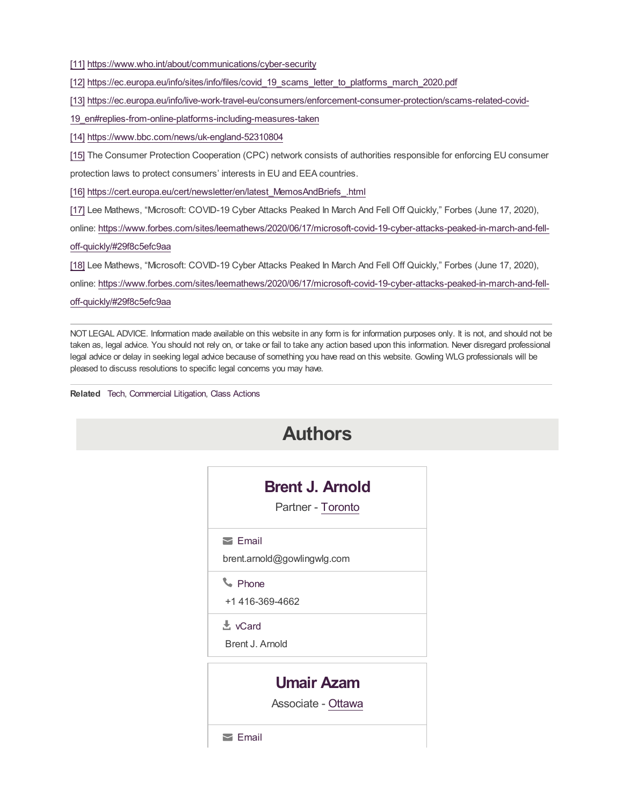<span id="page-5-0"></span>[\[11\]](#page-3-0) <https://www.who.int/about/communications/cyber-security>

<span id="page-5-1"></span>[\[12\]](#page-3-1) [https://ec.europa.eu/info/sites/info/files/covid\\_19\\_scams\\_letter\\_to\\_platforms\\_march\\_2020.pdf](https://ec.europa.eu/info/sites/info/files/covid_19_scams_letter_to_platforms_march_2020.pdf)

<span id="page-5-2"></span>[\[13\]](#page-3-2) [https://ec.europa.eu/info/live-work-travel-eu/consumers/enforcement-consumer-protection/scams-related-covid-](https://ec.europa.eu/info/live-work-travel-eu/consumers/enforcement-consumer-protection/scams-related-covid-19_en#replies-from-online-platforms-including-measures-taken)

19\_en#replies-from-online-platforms-including-measures-taken

<span id="page-5-3"></span>[\[14\]](#page-3-3) <https://www.bbc.com/news/uk-england-52310804>

<span id="page-5-4"></span>[\[15\]](#page-3-4) The Consumer Protection Cooperation (CPC) network consists of authorities responsible for enforcing EU consumer

protection laws to protect consumers' interests in EU and EEA countries.

<span id="page-5-5"></span>[\[16\]](#page-3-5) [https://cert.europa.eu/cert/newsletter/en/latest\\_MemosAndBriefs\\_.html](https://cert.europa.eu/cert/newsletter/en/latest_MemosAndBriefs_.html)

<span id="page-5-6"></span>[\[17\]](#page-4-10) Lee Mathews, "Microsoft: COVID-19 Cyber Attacks Peaked In March And Fell Off Quickly," Forbes (June 17, 2020),

online: [https://www.forbes.com/sites/leemathews/2020/06/17/microsoft-covid-19-cyber-attacks-peaked-in-march-and-fell-](https://www.forbes.com/sites/leemathews/2020/06/17/microsoft-covid-19-cyber-attacks-peaked-in-march-and-fell-off-quickly/#29f8c5efc9aa)

off-quickly/#29f8c5efc9aa

<span id="page-5-7"></span>[\[18\]](#page-4-11) Lee Mathews, "Microsoft: COVID-19 Cyber Attacks Peaked In March And Fell Off Quickly," Forbes (June 17, 2020),

online: [https://www.forbes.com/sites/leemathews/2020/06/17/microsoft-covid-19-cyber-attacks-peaked-in-march-and-fell](https://www.forbes.com/sites/leemathews/2020/06/17/microsoft-covid-19-cyber-attacks-peaked-in-march-and-fell-off-quickly/#29f8c5efc9aa)off-quickly/#29f8c5efc9aa

NOT LEGAL ADVICE. Information made available on this website in any form is for information purposes only. It is not, and should not be taken as, legal advice. You should not rely on, or take or fail to take any action based upon this information. Never disregard professional legal advice or delay in seeking legal advice because of something you have read on this website. Gowling WLG professionals will be pleased to discuss resolutions to specific legal concerns you may have.

**Related** [Tech](https://gowlingwlg.com/en/sectors/tech/), [Commercial](https://gowlingwlg.com/en/services/commercial-litigation/) Litigation, Class [Actions](https://gowlingwlg.com/en/services/class-actions/)

| <b>Authors</b>                                   |  |
|--------------------------------------------------|--|
| <b>Brent J. Arnold</b><br>Partner - Toronto      |  |
| $\sum$ Email<br>brent.arnold@gowlingwlg.com      |  |
| <b>L</b> Phone<br>+1 416-369-4662                |  |
| $\mathbf{\mathbf{\pm}}$ vCard<br>Brent J. Arnold |  |
| <b>Umair Azam</b><br>Associate - Ottawa          |  |
| $\ge$ Email                                      |  |